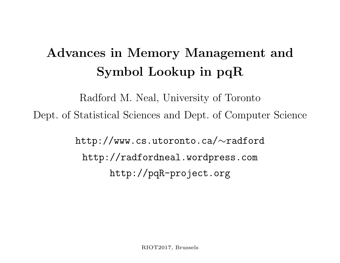# Advances in Memory Management and Symbol Lookup in pqR

Radford M. Neal, University of Toronto Dept. of Statistical Sciences and Dept. of Computer Science

> http://www.cs.utoronto.ca/ ∼radford http://radfordneal.wordpress.com http://pqR-project.org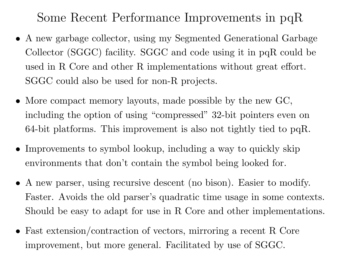Some Recent Performance Improvements in pqR

- A new garbage collector, using my Segmented Generational Garbage Collector (SGGC) facility. SGGC and code using it in pqR could be used in R Core and other R implementations without great effort. SGGC could also be used for non-R projects.
- More compact memory layouts, made possible by the new GC, including the option of using "compressed" 32-bit pointers even on 64-bit <sup>p</sup>latforms. This improvement is also not tightly tied to pqR.
- Improvements to symbol lookup, including a way to quickly skip environments that don't contain the symbol being looked for.
- A new parser, using recursive descent (no bison). Easier to modify. Faster. Avoids the old parser's quadratic time usage in some contexts. Should be easy to adapt for use in R Core and other implementations.
- Fast extension/contraction of vectors, mirroring a recent R Core improvement, but more general. Facilitated by use of SGGC.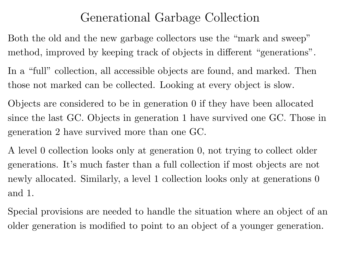### Generational Garbage Collection

Both the old and the new garbage collectors use the "mark and sweep" method, improved by keeping track of objects in different "generations".

In a "full" collection, all accessible objects are found, and marked. Then those not marked can be collected. Looking at every object is slow.

Objects are considered to be in generation 0 if they have been allocated since the last GC. Objects in generation 1 have survived one GC. Those in generation 2 have survived more than one GC.

A level 0 collection looks only at generation 0, not trying to collect older generations. It's much faster than <sup>a</sup> full collection if most objects are not newly allocated. Similarly, a level 1 collection looks only at generations 0 and 1.

Special provisions are needed to handle the situation where an object of an older generation is modified to point to an object of a younger generation.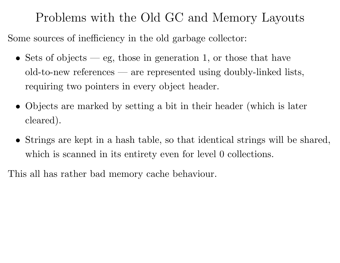Problems with the Old GC and Memory Layouts

Some sources of inefficiency in the old garbage collector:

- Sets of objects eg, those in generation 1, or those that have old-to-new references — are represented using doubly-linked lists, requiring two pointers in every object header.
- Objects are marked by setting a bit in their header (which is later cleared).
- Strings are kept in <sup>a</sup> hash table, so that identical strings will be shared, which is scanned in its entirety even for level 0 collections.

This all has rather bad memory cache behaviour.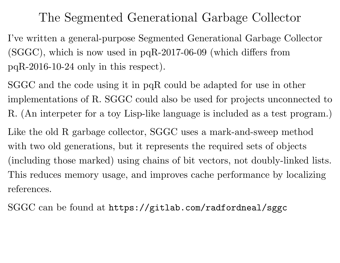#### The Segmented Generational Garbage Collector

I've written <sup>a</sup> general-purpose Segmented Generational Garbage Collector (SGGC), which is now used in pqR-2017-06-09 (which differs from pqR-2016-10-24 only in this respect).

SGGC and the code using it in pqR could be adapted for use in other implementations of R. SGGC could also be used for projects unconnected to R. (An interpeter for <sup>a</sup> toy Lisp-like language is included as <sup>a</sup> test program.) Like the old R garbage collector, SGGC uses a mark-and-sweep method with two old generations, but it represents the required sets of objects (including those marked) using chains of bit vectors, not doubly-linked lists. This reduces memory usage, and improves cache performance by localizing references.

SGGC can be found at https://gitlab.com/radfordneal/sggc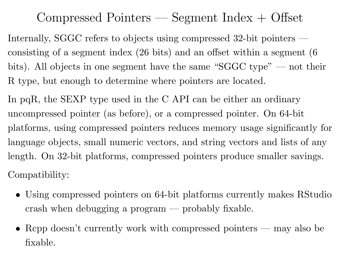# Compressed Pointers — Segment Index + Offset

Internally, SGGC refers to objects using compressed 32-bit pointers consisting of a segment index (26 bits) and an offset within a segment (6 bits). All objects in one segment have the same "SGGC type" — not their R type, but enough to determine where pointers are located.

In pqR, the SEXP type used in the C API can be either an ordinary uncompressed pointer (as before), or <sup>a</sup> compressed pointer. On 64-bit <sup>p</sup>latforms, using compressed pointers reduces memory usage significantly for language objects, small numeric vectors, and string vectors and lists of any length. On 32-bit <sup>p</sup>latforms, compressed pointers produce smaller savings. Compatibility:

- Using compressed pointers on 64-bit platforms currently makes RStudio crash when debugging <sup>a</sup> program — probably fixable.
- Repp doesn't currently work with compressed pointers may also be fixable.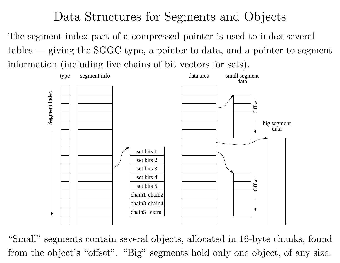### Data Structures for Segments and Objects

The segment index part of <sup>a</sup> compressed pointer is used to index several tables — giving the SGGC type, <sup>a</sup> pointer to data, and <sup>a</sup> pointer to segmen t information (including five chains of bit vectors for sets).



"Small" segments contain several objects, allocated in 16-byte chunks, found from the object's "offset". "Big" segments hold only one object, of any size.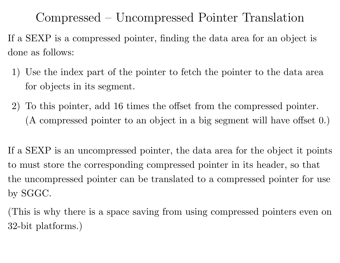Compressed – Uncompressed Pointer Translation

If <sup>a</sup> SEXP is <sup>a</sup> compressed pointer, finding the data area for an object is done as follows:

- 1) Use the index part of the pointer to fetch the pointer to the data are a for objects in its segment.
- 2) To this pointer, add <sup>16</sup> times the offset from the compressed pointer. (A compressed pointer to an object in <sup>a</sup> big segment will have offset 0.)

If <sup>a</sup> SEXP is an uncompressed pointer, the data area for the object it points to must store the corresponding compressed pointer in its header, so that the uncompressed pointer can be translated to <sup>a</sup> compressed pointer for use by SGGC.

(This is why there is a space saving from using compressed pointers even on 32-bit platforms.)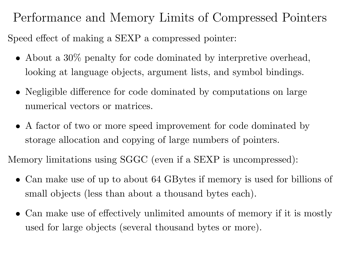Performance and Memory Limits of Compressed Pointers Speed effect of making <sup>a</sup> SEXP <sup>a</sup> compressed pointer:

- About a 30\% penalty for code dominated by interpretive overhead, looking at language objects, argument lists, and symbol bindings.
- Negligible difference for code dominated by computations on large numerical vectors or matrices.
- A factor of two or more speed improvement for code dominated by storage allocation and copying of large numbers of pointers.

Memory limitations using SGGC (even if <sup>a</sup> SEXP is uncompressed):

- Can make use of up to about 64 GBytes if memory is used for billions of small objects (less than about a thousand bytes each).
- Can make use of effectively unlimited amounts of memory if it is mostly used for large objects (several thousand bytes or more).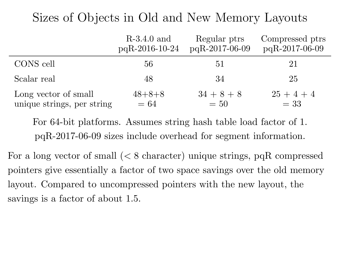# Sizes of Objects in Old and New Memory Layouts

|                            | $R-3.4.0$ and    | Regular ptrs   | Compressed ptrs |
|----------------------------|------------------|----------------|-----------------|
|                            | $pqR-2016-10-24$ | pqR-2017-06-09 | pqR-2017-06-09  |
| CONS cell                  | 56               | 51             | 21              |
| Scalar real                | 48               | 34             | 25              |
| Long vector of small       | $48 + 8 + 8$     | $34 + 8 + 8$   | $25+4+4$        |
| unique strings, per string | $=64$            | $=50$          | $= 33$          |

For 64-bit <sup>p</sup>latforms. Assumes string hash table load factor of 1. pqR-2017-06-09 sizes include overhead for segment information.

For a long vector of small (< 8 character) unique strings, pqR compressed pointers give essentially a factor of two space savings over the old memory layout. Compared to uncompressed pointers with the new layout, the savings is a factor of about 1.5.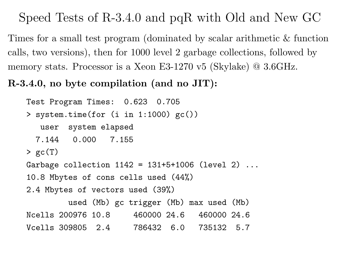### Speed Tests of R-3.4.0 and pqR with Old and New GC

Times for a small test program (dominated by scalar arithmetic & function calls, two versions), then for <sup>1000</sup> level <sup>2</sup> garbage collections, followed b y memory stats. Processor is a Xeon E3-1270 v5 (Skylake) @ 3.6GHz.

#### R-3.4.0, no byte compilation (and no JIT):

```
Test Program Times: 0.623 0.705
> system.time(for (i in 1:1000) gc())
  user system elapsed
 7.144 0.000 7.155
> gc(T)
Garbage collection 1142 = 131+5+1006 (level 2) ...
10.8 Mbytes of cons cells used (44%)
2.4 Mbytes of vectors used (39%)
        used (Mb) gc trigger (Mb) max used (Mb)
Ncells 200976 10.8 460000 24.6 460000 24.6
Vcells 309805 2.4 786432 6.0 735132 5.7
```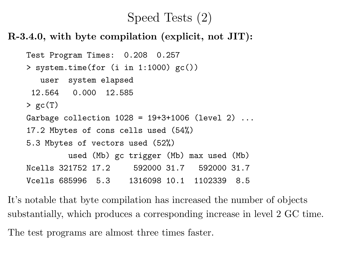### Speed Tests (2)

#### R-3.4.0, with byte compilation (explicit, not JIT):

```
Test Program Times: 0.208 0.257
> system.time(for (i in 1:1000) gc())
  user system elapsed
 12.564 0.000 12.585
> gc(T)
Garbage collection 1028 = 19+3+1006 (level 2) ...
17.2 Mbytes of cons cells used (54%)
5.3 Mbytes of vectors used (52%)
        used (Mb) gc trigger (Mb) max used (Mb)
Ncells 321752 17.2 592000 31.7 592000 31.7
Vcells 685996 5.3 1316098 10.1 1102339 8.5
```
It's notable that byte compilation has increased the number of objects substantially, which produces <sup>a</sup> corresponding increase in level 2 GC time. The test programs are almost three times faster.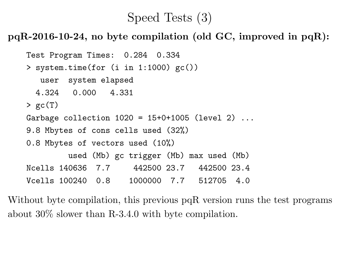### Speed Tests (3)

pqR-2016-10-24, no byte compilation (old GC, improved in  $pqR$ ):

```
Test Program Times: 0.284 0.334
> system.time(for (i in 1:1000) gc())
  user system elapsed
 4.324 0.000 4.331
> gc(T)
Garbage collection 1020 = 15+0+1005 (level 2)...
9.8 Mbytes of cons cells used (32%)
0.8 Mbytes of vectors used (10%)
        used (Mb) gc trigger (Mb) max used (Mb)
Ncells 140636 7.7 442500 23.7 442500 23.4
Vcells 100240 0.8 1000000 7.7 512705 4.0
```
Without byte compilation, this previous pqR version runs the test programs about 30% slower than R-3.4.0 with byte compilation.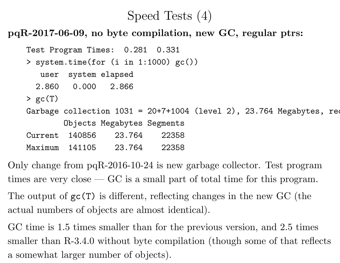## Speed Tests (4)

#### pqR-2017-06-09, no byte compilation, new GC, regular ptrs:

```
Test Program Times: 0.281 0.331
> system.time(for (i in 1:1000) gc())
  user system elapsed
 2.860 0.000 2.866
> gc(T)
Garbage collection 1031 = 20+7+1004 (level 2), 23.764 Megabytes, requested
       Objects Megabytes Segments
Current 140856 23.764 22358
Maximum 141105 23.764 22358
```
Only change from pqR-2016-10-24 is new garbage collector. Test program times are very close  $-GC$  is a small part of total time for this program.

The output of gc(T) is different, reflecting changes in the new GC (the actual numbers of objects are almost identical).

GC time is 1.5 times smaller than for the previous version, and 2.5 times smaller than R-3.4.0 without byte compilation (though some of that reflects a somewhat larger number of objects).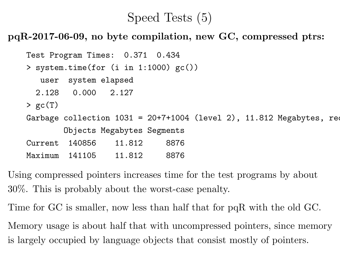#### Speed Tests (5)

pqR-2017-06-09, no byte compilation, new GC, compressed ptrs:

```
Test Program Times: 0.371 0.434
> system.time(for (i in 1:1000) gc())
  user system elapsed
 2.128 0.000 2.127
> gc(T)
Garbage collection 1031 = 20+7+1004 (level 2), 11.812 Megabytes, requested
       Objects Megabytes Segments
Current 140856 11.812 8876
Maximum 141105 11.812 8876
```
Using compressed pointers increases time for the test programs by about 30%. This is probably about the worst-case penalty.

Time for GC is smaller, now less than half that for pqR with the old GC.

Memory usage is about half that with uncompressed pointers, since memory is largely occupied by language objects that consist mostly of pointers.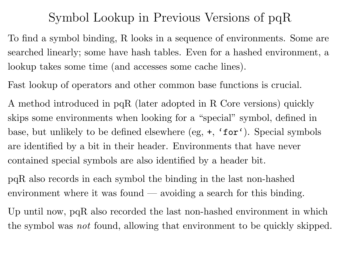#### Symbol Lookup in Previous Versions of pqR

To find <sup>a</sup> symbol binding, R looks in <sup>a</sup> sequence of environments. Some ar e searched linearly; some have hash tables. Even for a hashed environment, a lookup takes some time (and accesses some cache lines).

Fast lookup of operators and other common base functions is crucial.

A method introduced in pqR (later adopted in R Core versions) quickly skips some environments when looking for a "special" symbol, defined in base, but unlikely to be defined elsewhere (eg, <sup>+</sup>, 'for'). Special symbols are identified by <sup>a</sup> bit in their header. Environments that have never contained special symbols are also identified by <sup>a</sup> header bit.

pqR also records in each symbol the binding in the last non-hashed environment where it was found — avoiding <sup>a</sup> search for this binding.

Up until now, pqR also recorded the last non-hashed environment in which the symbol was not found, allowing that environment to be quickly skipped.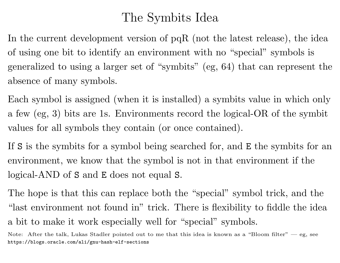# The Symbits Idea

In the current development version of pqR (not the latest release), the idea of using one bit to identify an environment with no "special" symbols is generalized to using <sup>a</sup> larger set of "symbits" (eg, 64) that can represent the absence of many symbols.

Each symbol is assigned (when it is installed) a symbits value in which only <sup>a</sup> few (eg, 3) bits are 1s. Environments record the logical-OR of the symbit values for all symbols they contain (or once contained).

If <sup>S</sup> is the symbits for <sup>a</sup> symbol being searched for, and <sup>E</sup> the symbits for an environment, we know that the symbol is not in that environment if the logical-AND of <sup>S</sup> and <sup>E</sup> does not equal <sup>S</sup>.

The hope is that this can replace both the "special" symbol trick, and the "last environment not found in" trick. There is flexibility to fiddle the idea <sup>a</sup> bit to make it work especially well for "special" symbols.

Note: After the talk, Lukas Stadler pointed out to me that this idea is known as a "Bloom filter"  $-$  eg, see https://blogs.oracle.com/ali/gnu-hash-elf-sections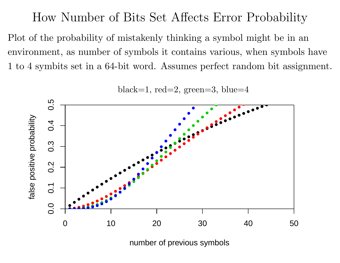How Number of Bits Set Affects Error Probability Plot of the probability of mistakenly thinking a symbol might be in an environment, as number of symbols it contains various, when symbols have 1 to 4 symbits set in <sup>a</sup> 64-bit word. Assumes perfect random bit assignment.



black=1,  $red=2$ ,  $green=3$ ,  $blue=4$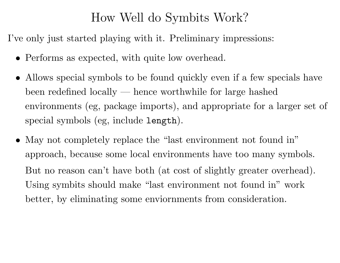### How Well do Symbits Work?

I've only just started playing with it. Preliminary impressions:

- Performs as expected, with quite low overhead.
- Allows special symbols to be found quickly even if <sup>a</sup> few specials have been redefined locally — hence worthwhile for large hashed environments (eg, package imports), and appropriate for <sup>a</sup> larger set of special symbols (eg, include length).
- May not completely replace the "last environment not found in" approach, because some local environments have too many symbols. But no reason can't have both (at cost of slightly greater overhead). Using symbits should make "last environment not found in" work better, by eliminating some enviornments from consideration.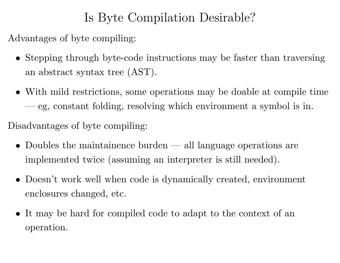# Is Byte Compilation Desirable?

Advantages of byte compiling:

- Stepping through byte-code instructions may be faster than traversing an abstract syntax tree (AST).
- With mild restrictions, some operations may be doable at compile time — eg, constant folding, resolving which environment <sup>a</sup> symbol is in.

Disadvantages of byte compiling:

- Doubles the maintainence burden all language operations are implemented twice (assuming an interpreter is still needed).
- Doesn't work well when code is dynamically created, environment enclosures changed, etc.
- It may be hard for compiled code to adapt to the context of an operation.